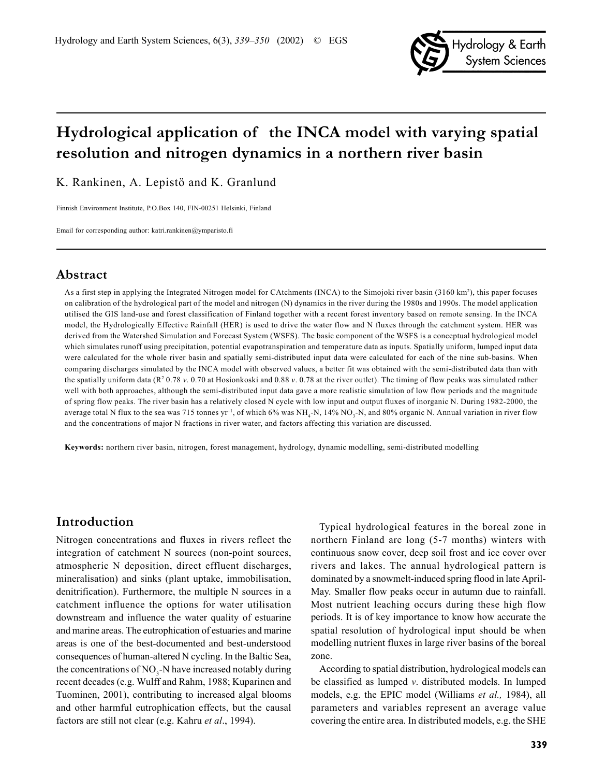

# **Hydrological application of the INCA model with varying spatial resolution and nitrogen dynamics in a northern river basin**

K. Rankinen, A. Lepistö and K. Granlund

Finnish Environment Institute, P.O.Box 140, FIN-00251 Helsinki, Finland

Email for corresponding author: katri.rankinen@ymparisto.fi

## **Abstract**

As a first step in applying the Integrated Nitrogen model for CAtchments (INCA) to the Simojoki river basin (3160 km2 ), this paper focuses on calibration of the hydrological part of the model and nitrogen (N) dynamics in the river during the 1980s and 1990s. The model application utilised the GIS land-use and forest classification of Finland together with a recent forest inventory based on remote sensing. In the INCA model, the Hydrologically Effective Rainfall (HER) is used to drive the water flow and N fluxes through the catchment system. HER was derived from the Watershed Simulation and Forecast System (WSFS). The basic component of the WSFS is a conceptual hydrological model which simulates runoff using precipitation, potential evapotranspiration and temperature data as inputs. Spatially uniform, lumped input data were calculated for the whole river basin and spatially semi-distributed input data were calculated for each of the nine sub-basins. When comparing discharges simulated by the INCA model with observed values, a better fit was obtained with the semi-distributed data than with the spatially uniform data (R<sup>2</sup> 0.78 *v*. 0.70 at Hosionkoski and 0.88 *v*. 0.78 at the river outlet). The timing of flow peaks was simulated rather well with both approaches, although the semi-distributed input data gave a more realistic simulation of low flow periods and the magnitude of spring flow peaks. The river basin has a relatively closed N cycle with low input and output fluxes of inorganic N. During 1982-2000, the average total N flux to the sea was 715 tonnes yr<sup>-1</sup>, of which 6% was  $NH_4\text{-}N$ , 14%  $NO_3\text{-}N$ , and 80% organic N. Annual variation in river flow and the concentrations of major N fractions in river water, and factors affecting this variation are discussed.

**Keywords:** northern river basin, nitrogen, forest management, hydrology, dynamic modelling, semi-distributed modelling

## **Introduction**

Nitrogen concentrations and fluxes in rivers reflect the integration of catchment N sources (non-point sources, atmospheric N deposition, direct effluent discharges, mineralisation) and sinks (plant uptake, immobilisation, denitrification). Furthermore, the multiple N sources in a catchment influence the options for water utilisation downstream and influence the water quality of estuarine and marine areas. The eutrophication of estuaries and marine areas is one of the best-documented and best-understood consequences of human-altered N cycling. In the Baltic Sea, the concentrations of  $NO<sub>3</sub>$ -N have increased notably during recent decades (e.g. Wulff and Rahm, 1988; Kuparinen and Tuominen, 2001), contributing to increased algal blooms and other harmful eutrophication effects, but the causal factors are still not clear (e.g. Kahru *et al*., 1994).

Typical hydrological features in the boreal zone in northern Finland are long (5-7 months) winters with continuous snow cover, deep soil frost and ice cover over rivers and lakes. The annual hydrological pattern is dominated by a snowmelt-induced spring flood in late April-May. Smaller flow peaks occur in autumn due to rainfall. Most nutrient leaching occurs during these high flow periods. It is of key importance to know how accurate the spatial resolution of hydrological input should be when modelling nutrient fluxes in large river basins of the boreal zone.

According to spatial distribution, hydrological models can be classified as lumped *v*. distributed models. In lumped models, e.g. the EPIC model (Williams *et al.,* 1984), all parameters and variables represent an average value covering the entire area. In distributed models, e.g. the SHE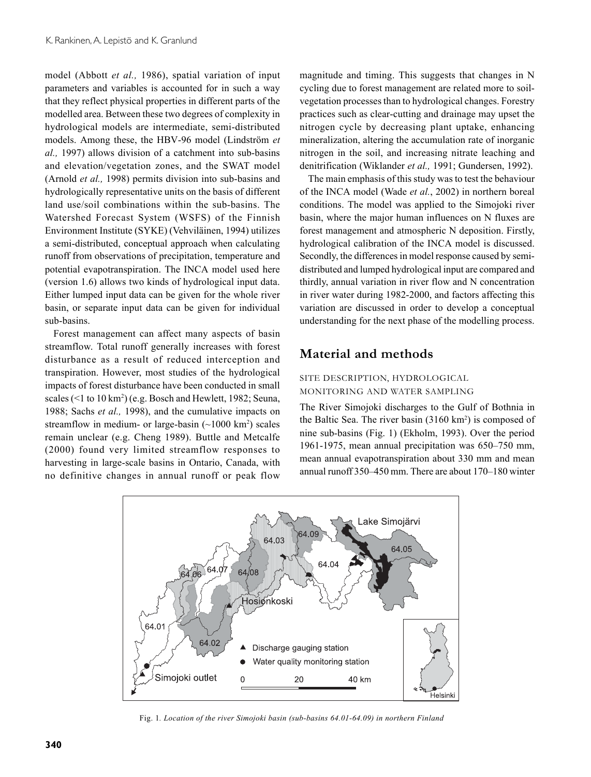model (Abbott *et al.,* 1986), spatial variation of input parameters and variables is accounted for in such a way that they reflect physical properties in different parts of the modelled area. Between these two degrees of complexity in hydrological models are intermediate, semi-distributed models. Among these, the HBV-96 model (Lindström *et al.,* 1997) allows division of a catchment into sub-basins and elevation/vegetation zones, and the SWAT model (Arnold *et al.,* 1998) permits division into sub-basins and hydrologically representative units on the basis of different land use/soil combinations within the sub-basins. The Watershed Forecast System (WSFS) of the Finnish Environment Institute (SYKE) (Vehviläinen, 1994) utilizes a semi-distributed, conceptual approach when calculating runoff from observations of precipitation, temperature and potential evapotranspiration. The INCA model used here (version 1.6) allows two kinds of hydrological input data. Either lumped input data can be given for the whole river basin, or separate input data can be given for individual sub-basins.

Forest management can affect many aspects of basin streamflow. Total runoff generally increases with forest disturbance as a result of reduced interception and transpiration. However, most studies of the hydrological impacts of forest disturbance have been conducted in small scales (<1 to 10 km<sup>2</sup>) (e.g. Bosch and Hewlett, 1982; Seuna, 1988; Sachs *et al.,* 1998), and the cumulative impacts on streamflow in medium- or large-basin  $(\sim 1000 \text{ km}^2)$  scales remain unclear (e.g. Cheng 1989). Buttle and Metcalfe (2000) found very limited streamflow responses to harvesting in large-scale basins in Ontario, Canada, with no definitive changes in annual runoff or peak flow

magnitude and timing. This suggests that changes in N cycling due to forest management are related more to soilvegetation processes than to hydrological changes. Forestry practices such as clear-cutting and drainage may upset the nitrogen cycle by decreasing plant uptake, enhancing mineralization, altering the accumulation rate of inorganic nitrogen in the soil, and increasing nitrate leaching and denitrification (Wiklander *et al.,* 1991; Gundersen, 1992).

The main emphasis of this study was to test the behaviour of the INCA model (Wade *et al.*, 2002) in northern boreal conditions. The model was applied to the Simojoki river basin, where the major human influences on N fluxes are forest management and atmospheric N deposition. Firstly, hydrological calibration of the INCA model is discussed. Secondly, the differences in model response caused by semidistributed and lumped hydrological input are compared and thirdly, annual variation in river flow and N concentration in river water during 1982-2000, and factors affecting this variation are discussed in order to develop a conceptual understanding for the next phase of the modelling process.

## **Material and methods**

## SITE DESCRIPTION, HYDROLOGICAL MONITORING AND WATER SAMPLING

The River Simojoki discharges to the Gulf of Bothnia in the Baltic Sea. The river basin (3160 km<sup>2</sup>) is composed of nine sub-basins (Fig. 1) (Ekholm, 1993). Over the period 1961-1975, mean annual precipitation was 650–750 mm, mean annual evapotranspiration about 330 mm and mean annual runoff 350–450 mm. There are about 170–180 winter



Fig. 1*. Location of the river Simojoki basin (sub-basins 64.01-64.09) in northern Finland*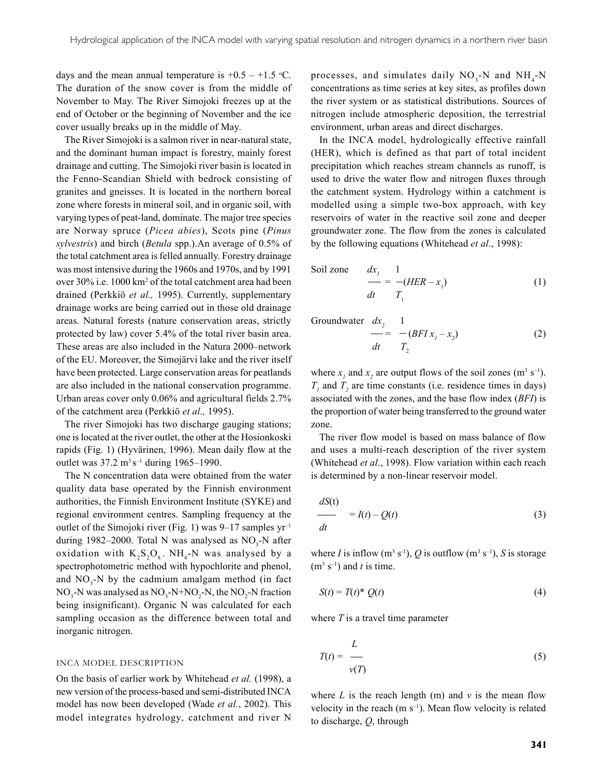days and the mean annual temperature is  $+0.5 - +1.5$  °C. The duration of the snow cover is from the middle of November to May. The River Simojoki freezes up at the end of October or the beginning of November and the ice cover usually breaks up in the middle of May.

The River Simojoki is a salmon river in near-natural state, and the dominant human impact is forestry, mainly forest drainage and cutting. The Simojoki river basin is located in the Fenno-Scandian Shield with bedrock consisting of granites and gneisses. It is located in the northern boreal zone where forests in mineral soil, and in organic soil, with varying types of peat-land, dominate. The major tree species are Norway spruce (*Picea abies*), Scots pine (*Pinus sylvestris*) and birch (*Betula* spp.).An average of 0.5% of the total catchment area is felled annually. Forestry drainage was most intensive during the 1960s and 1970s, and by 1991 over 30% i.e. 1000 km<sup>2</sup> of the total catchment area had been drained (Perkkiö *et al.,* 1995). Currently, supplementary drainage works are being carried out in those old drainage areas. Natural forests (nature conservation areas, strictly protected by law) cover 5.4% of the total river basin area. These areas are also included in the Natura 2000–network of the EU. Moreover, the Simojärvi lake and the river itself have been protected. Large conservation areas for peatlands are also included in the national conservation programme. Urban areas cover only 0.06% and agricultural fields 2.7% of the catchment area (Perkkiö *et al.,* 1995).

The river Simojoki has two discharge gauging stations; one is located at the river outlet, the other at the Hosionkoski rapids (Fig. 1) (Hyvärinen, 1996). Mean daily flow at the outlet was 37.2 m<sup>3</sup> s<sup>-1</sup> during 1965–1990.

The N concentration data were obtained from the water quality data base operated by the Finnish environment authorities, the Finnish Environment Institute (SYKE) and regional environment centres. Sampling frequency at the outlet of the Simojoki river (Fig. 1) was  $9-17$  samples  $yr^{-1}$ during 1982–2000. Total N was analysed as  $NO<sub>3</sub>$ -N after oxidation with  $K_2S_2O_8$ . NH<sub>4</sub>-N was analysed by a spectrophotometric method with hypochlorite and phenol, and  $NO_3$ -N by the cadmium amalgam method (in fact  $NO_3$ -N was analysed as  $NO_3$ -N+NO<sub>2</sub>-N, the NO<sub>2</sub>-N fraction being insignificant). Organic N was calculated for each sampling occasion as the difference between total and inorganic nitrogen.

#### INCA MODEL DESCRIPTION

On the basis of earlier work by Whitehead *et al.* (1998), a new version of the process-based and semi-distributed INCA model has now been developed (Wade *et al.*, 2002). This model integrates hydrology, catchment and river N

processes, and simulates daily  $NO<sub>3</sub>-N$  and  $NH<sub>4</sub>-N$ concentrations as time series at key sites, as profiles down the river system or as statistical distributions. Sources of nitrogen include atmospheric deposition, the terrestrial environment, urban areas and direct discharges.

In the INCA model, hydrologically effective rainfall (HER), which is defined as that part of total incident precipitation which reaches stream channels as runoff, is used to drive the water flow and nitrogen fluxes through the catchment system. Hydrology within a catchment is modelled using a simple two-box approach, with key reservoirs of water in the reactive soil zone and deeper groundwater zone. The flow from the zones is calculated by the following equations (Whitehead *et al*., 1998):

Soil zone 
$$
\frac{dx_1}{dt} = \frac{1}{T_1}(HER - x_1)
$$
 (1)

Groundwater dx<sub>2</sub> 1

$$
\frac{1}{dt} = -(BFI x_1 - x_2) \tag{2}
$$

where  $x_i$  and  $x_2$  are output flows of the soil zones (m<sup>3</sup> s<sup>-1</sup>).  $T<sub>1</sub>$  and  $T<sub>2</sub>$  are time constants (i.e. residence times in days) associated with the zones, and the base flow index (*BFI*) is the proportion of water being transferred to the ground water zone.

The river flow model is based on mass balance of flow and uses a multi-reach description of the river system (Whitehead *et al*., 1998). Flow variation within each reach is determined by a non-linear reservoir model.

$$
\frac{dS(t)}{dt} = I(t) - Q(t) \tag{3}
$$

where *I* is inflow (m<sup>3</sup> s<sup>-1</sup>), *Q* is outflow (m<sup>3</sup> s<sup>-1</sup>), *S* is storage  $(m<sup>3</sup> s<sup>-1</sup>)$  and *t* is time.

$$
S(t) = T(t)^* Q(t)
$$
\n<sup>(4)</sup>

where *T* is a travel time parameter

$$
T(t) = \frac{L}{v(T)}\tag{5}
$$

where  $L$  is the reach length (m) and  $\nu$  is the mean flow velocity in the reach  $(m s^{-1})$ . Mean flow velocity is related to discharge, *Q*, through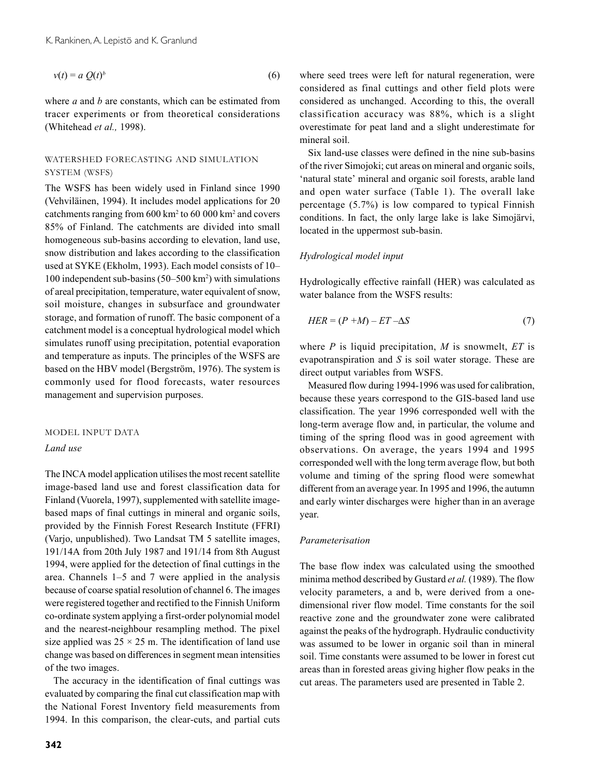$$
v(t) = a Q(t)^b
$$
 (6)

where *a* and *b* are constants, which can be estimated from tracer experiments or from theoretical considerations (Whitehead *et al.,* 1998).

### WATERSHED FORECASTING AND SIMULATION SYSTEM (WSFS)

The WSFS has been widely used in Finland since 1990 (Vehviläinen, 1994). It includes model applications for 20 catchments ranging from 600 km<sup>2</sup> to 60 000 km<sup>2</sup> and covers 85% of Finland. The catchments are divided into small homogeneous sub-basins according to elevation, land use, snow distribution and lakes according to the classification used at SYKE (Ekholm, 1993). Each model consists of 10– 100 independent sub-basins (50–500 km2 ) with simulations of areal precipitation, temperature, water equivalent of snow, soil moisture, changes in subsurface and groundwater storage, and formation of runoff. The basic component of a catchment model is a conceptual hydrological model which simulates runoff using precipitation, potential evaporation and temperature as inputs. The principles of the WSFS are based on the HBV model (Bergström, 1976). The system is commonly used for flood forecasts, water resources management and supervision purposes.

### MODEL INPUT DATA

#### *Land use*

The INCA model application utilises the most recent satellite image-based land use and forest classification data for Finland (Vuorela, 1997), supplemented with satellite imagebased maps of final cuttings in mineral and organic soils, provided by the Finnish Forest Research Institute (FFRI) (Varjo, unpublished). Two Landsat TM 5 satellite images, 191/14A from 20th July 1987 and 191/14 from 8th August 1994, were applied for the detection of final cuttings in the area. Channels 1–5 and 7 were applied in the analysis because of coarse spatial resolution of channel 6. The images were registered together and rectified to the Finnish Uniform co-ordinate system applying a first-order polynomial model and the nearest-neighbour resampling method. The pixel size applied was  $25 \times 25$  m. The identification of land use change was based on differences in segment mean intensities of the two images.

The accuracy in the identification of final cuttings was evaluated by comparing the final cut classification map with the National Forest Inventory field measurements from 1994. In this comparison, the clear-cuts, and partial cuts

where seed trees were left for natural regeneration, were considered as final cuttings and other field plots were considered as unchanged. According to this, the overall classification accuracy was 88%, which is a slight overestimate for peat land and a slight underestimate for mineral soil.

Six land-use classes were defined in the nine sub-basins of the river Simojoki; cut areas on mineral and organic soils, 'natural state' mineral and organic soil forests, arable land and open water surface (Table 1). The overall lake percentage (5.7%) is low compared to typical Finnish conditions. In fact, the only large lake is lake Simojärvi, located in the uppermost sub-basin.

#### *Hydrological model input*

Hydrologically effective rainfall (HER) was calculated as water balance from the WSFS results:

$$
HER = (P + M) - ET - \Delta S \tag{7}
$$

where *P* is liquid precipitation, *M* is snowmelt, *ET* is evapotranspiration and *S* is soil water storage. These are direct output variables from WSFS.

Measured flow during 1994-1996 was used for calibration, because these years correspond to the GIS-based land use classification. The year 1996 corresponded well with the long-term average flow and, in particular, the volume and timing of the spring flood was in good agreement with observations. On average, the years 1994 and 1995 corresponded well with the long term average flow, but both volume and timing of the spring flood were somewhat different from an average year. In 1995 and 1996, the autumn and early winter discharges were higher than in an average year.

#### *Parameterisation*

The base flow index was calculated using the smoothed minima method described by Gustard *et al.* (1989). The flow velocity parameters, a and b, were derived from a onedimensional river flow model. Time constants for the soil reactive zone and the groundwater zone were calibrated against the peaks of the hydrograph. Hydraulic conductivity was assumed to be lower in organic soil than in mineral soil. Time constants were assumed to be lower in forest cut areas than in forested areas giving higher flow peaks in the cut areas. The parameters used are presented in Table 2.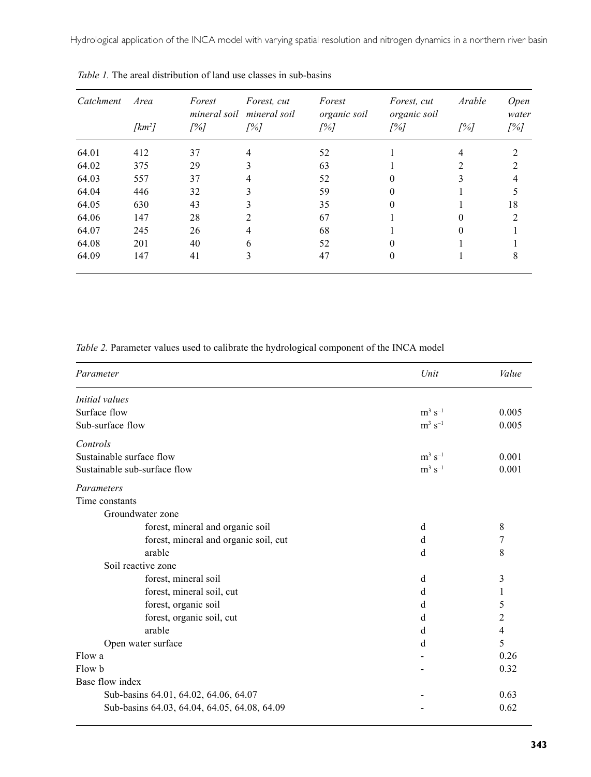Hydrological application of the INCA model with varying spatial resolution and nitrogen dynamics in a northern river basin

| Catchment | Area<br>$[km^2]$ | Forest<br>mineral soil<br>[%] | Forest, cut<br>mineral soil<br>[%] | Forest<br>organic soil<br>[%] | Forest, cut<br>organic soil<br>[%] | Arable<br>[%] | <b>Open</b><br>water<br>[%] |
|-----------|------------------|-------------------------------|------------------------------------|-------------------------------|------------------------------------|---------------|-----------------------------|
|           |                  |                               |                                    |                               |                                    |               |                             |
| 64.02     | 375              | 29                            | 3                                  | 63                            |                                    |               |                             |
| 64.03     | 557              | 37                            | 4                                  | 52                            |                                    |               |                             |
| 64.04     | 446              | 32                            | 3                                  | 59                            |                                    |               |                             |
| 64.05     | 630              | 43                            | 3                                  | 35                            |                                    |               | 18                          |
| 64.06     | 147              | 28                            | 2                                  | 67                            |                                    | 0             | $\mathcal{L}$               |
| 64.07     | 245              | 26                            | 4                                  | 68                            |                                    |               |                             |
| 64.08     | 201              | 40                            | 6                                  | 52                            |                                    |               |                             |
| 64.09     | 147              | 41                            | 3                                  | 47                            | 0                                  |               | 8                           |

*Table 1.* The areal distribution of land use classes in sub-basins

*Table 2.* Parameter values used to calibrate the hydrological component of the INCA model

| Parameter                                    | Unit                  | Value          |
|----------------------------------------------|-----------------------|----------------|
| Initial values                               |                       |                |
| Surface flow                                 | $m^3 s^{-1}$          | 0.005          |
| Sub-surface flow                             | $m^3$ s <sup>-1</sup> | 0.005          |
| Controls                                     |                       |                |
| Sustainable surface flow                     | $m^3$ s <sup>-1</sup> | 0.001          |
| Sustainable sub-surface flow                 | $m^3$ s <sup>-1</sup> | 0.001          |
| Parameters                                   |                       |                |
| Time constants                               |                       |                |
| Groundwater zone                             |                       |                |
| forest, mineral and organic soil             | d                     | $\,$ 8 $\,$    |
| forest, mineral and organic soil, cut        | d                     | 7              |
| arable                                       | d                     | 8              |
| Soil reactive zone                           |                       |                |
| forest, mineral soil                         | d                     | 3              |
| forest, mineral soil, cut                    | d                     | 1              |
| forest, organic soil                         | d                     | 5              |
| forest, organic soil, cut                    | d                     | $\overline{2}$ |
| arable                                       | d                     | $\overline{4}$ |
| Open water surface                           | d                     | 5              |
| Flow a                                       |                       | 0.26           |
| Flow b                                       |                       | 0.32           |
| Base flow index                              |                       |                |
| Sub-basins 64.01, 64.02, 64.06, 64.07        |                       | 0.63           |
| Sub-basins 64.03, 64.04, 64.05, 64.08, 64.09 |                       | 0.62           |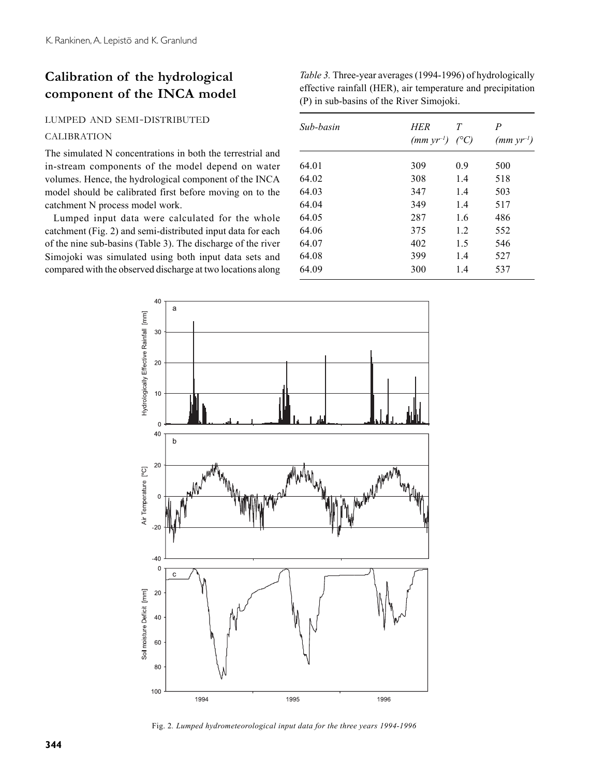## **Calibration of the hydrological component of the INCA model**

#### LUMPED AND SEMI-DISTRIBUTED

#### CALIBRATION

The simulated N concentrations in both the terrestrial and in-stream components of the model depend on water volumes. Hence, the hydrological component of the INCA model should be calibrated first before moving on to the catchment N process model work.

Lumped input data were calculated for the whole catchment (Fig. 2) and semi-distributed input data for each of the nine sub-basins (Table 3). The discharge of the river Simojoki was simulated using both input data sets and compared with the observed discharge at two locations along *Table 3.* Three-year averages (1994-1996) of hydrologically effective rainfall (HER), air temperature and precipitation (P) in sub-basins of the River Simojoki.

| Sub-basin | HER<br>$(mm yr^{-1})$ | T<br>$\langle ^{\circ}C \rangle$ | P<br>$(mm yr^{-1})$ |
|-----------|-----------------------|----------------------------------|---------------------|
| 64.01     | 309                   | 0.9                              | 500                 |
| 64.02     | 308                   | 1.4                              | 518                 |
| 64.03     | 347                   | 1.4                              | 503                 |
| 64.04     | 349                   | 1.4                              | 517                 |
| 64.05     | 287                   | 1.6                              | 486                 |
| 64.06     | 375                   | 1.2                              | 552                 |
| 64.07     | 402                   | 1.5                              | 546                 |
| 64.08     | 399                   | 1.4                              | 527                 |
| 64.09     | 300                   | 1.4                              | 537                 |



Fig. 2*. Lumped hydrometeorological input data for the three years 1994-1996*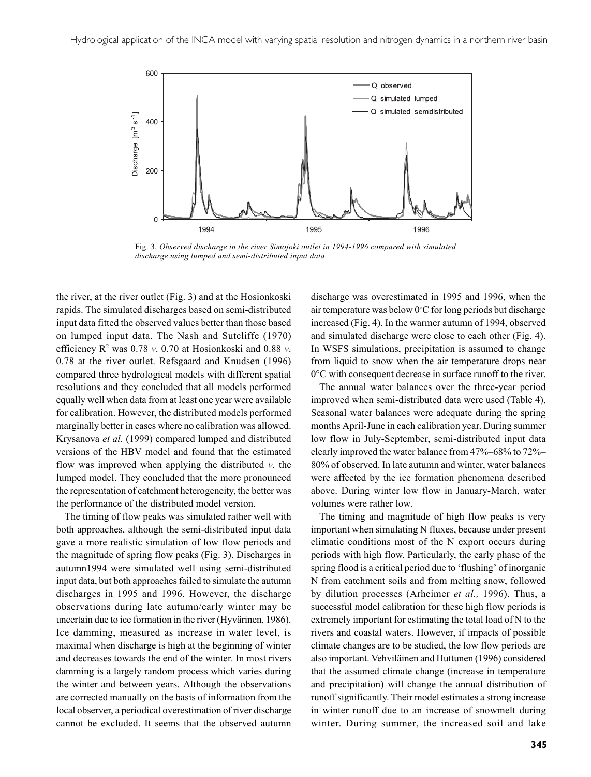

Fig. 3*. Observed discharge in the river Simojoki outlet in 1994-1996 compared with simulated discharge using lumped and semi-distributed input data*

the river, at the river outlet (Fig. 3) and at the Hosionkoski rapids. The simulated discharges based on semi-distributed input data fitted the observed values better than those based on lumped input data. The Nash and Sutcliffe (1970) efficiency R2 was 0.78 *v*. 0.70 at Hosionkoski and 0.88 *v*. 0.78 at the river outlet. Refsgaard and Knudsen (1996) compared three hydrological models with different spatial resolutions and they concluded that all models performed equally well when data from at least one year were available for calibration. However, the distributed models performed marginally better in cases where no calibration was allowed. Krysanova *et al.* (1999) compared lumped and distributed versions of the HBV model and found that the estimated flow was improved when applying the distributed *v*. the lumped model. They concluded that the more pronounced the representation of catchment heterogeneity, the better was the performance of the distributed model version.

The timing of flow peaks was simulated rather well with both approaches, although the semi-distributed input data gave a more realistic simulation of low flow periods and the magnitude of spring flow peaks (Fig. 3). Discharges in autumn1994 were simulated well using semi-distributed input data, but both approaches failed to simulate the autumn discharges in 1995 and 1996. However, the discharge observations during late autumn/early winter may be uncertain due to ice formation in the river (Hyvärinen, 1986). Ice damming, measured as increase in water level, is maximal when discharge is high at the beginning of winter and decreases towards the end of the winter. In most rivers damming is a largely random process which varies during the winter and between years. Although the observations are corrected manually on the basis of information from the local observer, a periodical overestimation of river discharge cannot be excluded. It seems that the observed autumn

discharge was overestimated in 1995 and 1996, when the air temperature was below 0°C for long periods but discharge increased (Fig. 4). In the warmer autumn of 1994, observed and simulated discharge were close to each other (Fig. 4). In WSFS simulations, precipitation is assumed to change from liquid to snow when the air temperature drops near 0°C with consequent decrease in surface runoff to the river.

The annual water balances over the three-year period improved when semi-distributed data were used (Table 4). Seasonal water balances were adequate during the spring months April-June in each calibration year. During summer low flow in July-September, semi-distributed input data clearly improved the water balance from 47%–68% to 72%– 80% of observed. In late autumn and winter, water balances were affected by the ice formation phenomena described above. During winter low flow in January-March, water volumes were rather low.

The timing and magnitude of high flow peaks is very important when simulating N fluxes, because under present climatic conditions most of the N export occurs during periods with high flow. Particularly, the early phase of the spring flood is a critical period due to 'flushing' of inorganic N from catchment soils and from melting snow, followed by dilution processes (Arheimer *et al.,* 1996). Thus, a successful model calibration for these high flow periods is extremely important for estimating the total load of N to the rivers and coastal waters. However, if impacts of possible climate changes are to be studied, the low flow periods are also important. Vehviläinen and Huttunen (1996) considered that the assumed climate change (increase in temperature and precipitation) will change the annual distribution of runoff significantly. Their model estimates a strong increase in winter runoff due to an increase of snowmelt during winter. During summer, the increased soil and lake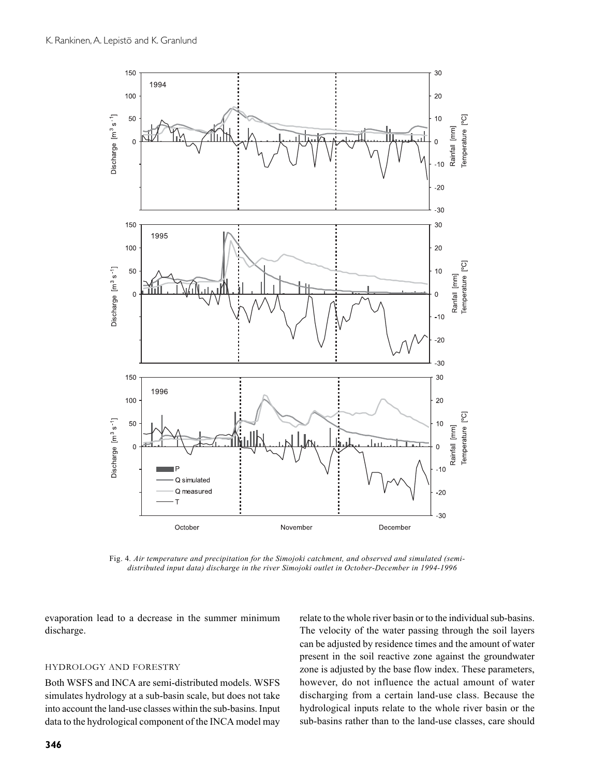

Fig. 4*. Air temperature and precipitation for the Simojoki catchment, and observed and simulated (semidistributed input data) discharge in the river Simojoki outlet in October-December in 1994-1996*

evaporation lead to a decrease in the summer minimum discharge.

#### HYDROLOGY AND FORESTRY

Both WSFS and INCA are semi-distributed models. WSFS simulates hydrology at a sub-basin scale, but does not take into account the land-use classes within the sub-basins. Input data to the hydrological component of the INCA model may

relate to the whole river basin or to the individual sub-basins. The velocity of the water passing through the soil layers can be adjusted by residence times and the amount of water present in the soil reactive zone against the groundwater zone is adjusted by the base flow index. These parameters, however, do not influence the actual amount of water discharging from a certain land-use class. Because the hydrological inputs relate to the whole river basin or the sub-basins rather than to the land-use classes, care should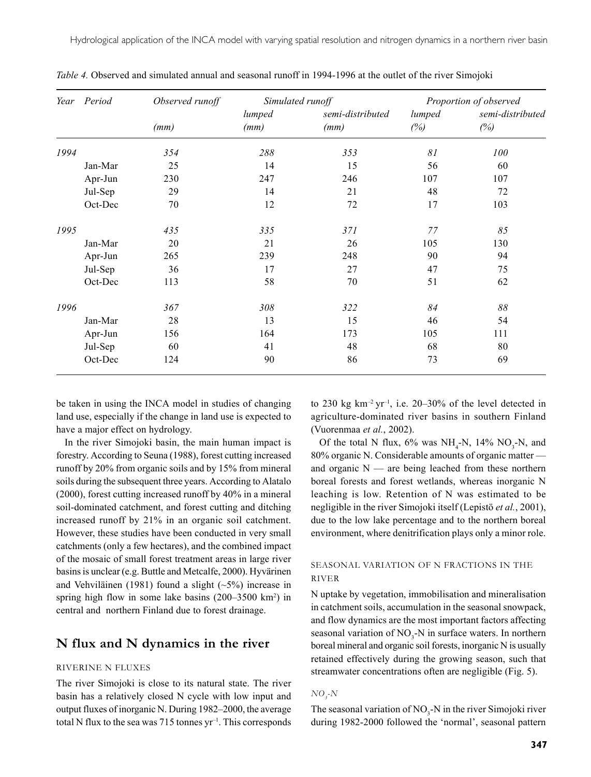Hydrological application of the INCA model with varying spatial resolution and nitrogen dynamics in a northern river basin

|      | Year Period | Observed runoff | Simulated runoff |                          | Proportion of observed |                         |
|------|-------------|-----------------|------------------|--------------------------|------------------------|-------------------------|
|      |             | (mm)            | lumped<br>(mm)   | semi-distributed<br>(mm) | lumped<br>(%)          | semi-distributed<br>(%) |
|      |             |                 |                  |                          |                        |                         |
| 1994 |             | 354             | 288              | 353                      | 81                     | 100                     |
|      | Jan-Mar     | 25              | 14               | 15                       | 56                     | 60                      |
|      | Apr-Jun     | 230             | 247              | 246                      | 107                    | 107                     |
|      | Jul-Sep     | 29              | 14               | 21                       | 48                     | 72                      |
|      | Oct-Dec     | 70              | 12               | 72                       | 17                     | 103                     |
| 1995 |             | 435             | 335              | 371                      | 77                     | 85                      |
|      | Jan-Mar     | 20              | 21               | 26                       | 105                    | 130                     |
|      | Apr-Jun     | 265             | 239              | 248                      | 90                     | 94                      |
|      | Jul-Sep     | 36              | 17               | 27                       | 47                     | 75                      |
|      | Oct-Dec     | 113             | 58               | 70                       | 51                     | 62                      |
| 1996 |             | 367             | 308              | 322                      | 84                     | $\delta\delta$          |
|      | Jan-Mar     | 28              | 13               | 15                       | 46                     | 54                      |
|      | Apr-Jun     | 156             | 164              | 173                      | 105                    | 111                     |
|      | Jul-Sep     | 60              | 41               | 48                       | 68                     | 80                      |
|      | Oct-Dec     | 124             | 90               | 86                       | 73                     | 69                      |

*Table 4.* Observed and simulated annual and seasonal runoff in 1994-1996 at the outlet of the river Simojoki

be taken in using the INCA model in studies of changing land use, especially if the change in land use is expected to have a major effect on hydrology.

In the river Simojoki basin, the main human impact is forestry. According to Seuna (1988), forest cutting increased runoff by 20% from organic soils and by 15% from mineral soils during the subsequent three years. According to Alatalo (2000), forest cutting increased runoff by 40% in a mineral soil-dominated catchment, and forest cutting and ditching increased runoff by 21% in an organic soil catchment. However, these studies have been conducted in very small catchments (only a few hectares), and the combined impact of the mosaic of small forest treatment areas in large river basins is unclear (e.g. Buttle and Metcalfe, 2000). Hyvärinen and Vehviläinen (1981) found a slight (~5%) increase in spring high flow in some lake basins (200–3500 km<sup>2</sup>) in central and northern Finland due to forest drainage.

## **N flux and N dynamics in the river**

#### RIVERINE N FLUXES

The river Simojoki is close to its natural state. The river basin has a relatively closed N cycle with low input and output fluxes of inorganic N. During 1982–2000, the average total N flux to the sea was 715 tonnes  $yr^{-1}$ . This corresponds to 230 kg km<sup>-2</sup> yr<sup>-1</sup>, i.e. 20–30% of the level detected in agriculture-dominated river basins in southern Finland (Vuorenmaa *et al.*, 2002).

Of the total N flux,  $6\%$  was NH<sub>4</sub>-N, 14% NO<sub>3</sub>-N, and 80% organic N. Considerable amounts of organic matter and organic  $N$  — are being leached from these northern boreal forests and forest wetlands, whereas inorganic N leaching is low. Retention of N was estimated to be negligible in the river Simojoki itself (Lepistö *et al.*, 2001), due to the low lake percentage and to the northern boreal environment, where denitrification plays only a minor role.

#### SEASONAL VARIATION OF N FRACTIONS IN THE RIVER

N uptake by vegetation, immobilisation and mineralisation in catchment soils, accumulation in the seasonal snowpack, and flow dynamics are the most important factors affecting seasonal variation of  $NO_3$ -N in surface waters. In northern boreal mineral and organic soil forests, inorganic N is usually retained effectively during the growing season, such that streamwater concentrations often are negligible (Fig. 5).

#### $NO_{j}$ *-N*

The seasonal variation of  $NO<sub>3</sub>$ -N in the river Simojoki river during 1982-2000 followed the 'normal', seasonal pattern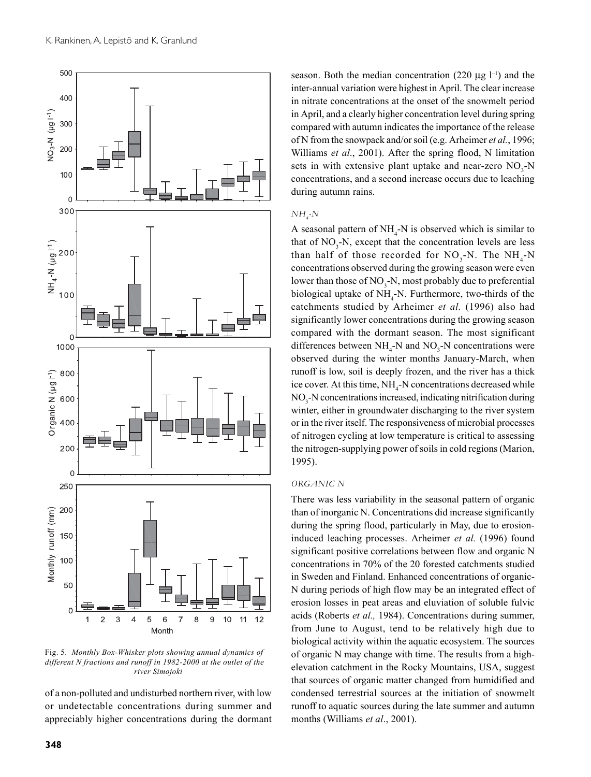

Fig. 5. *Monthly Box-Whisker plots showing annual dynamics of different N fractions and runoff in 1982-2000 at the outlet of the river Simojoki*

of a non-polluted and undisturbed northern river, with low or undetectable concentrations during summer and appreciably higher concentrations during the dormant season. Both the median concentration (220  $\mu$ g l<sup>-1</sup>) and the inter-annual variation were highest in April. The clear increase in nitrate concentrations at the onset of the snowmelt period in April, and a clearly higher concentration level during spring compared with autumn indicates the importance of the release of N from the snowpack and/or soil (e.g. Arheimer *et al.*, 1996; Williams *et al*., 2001). After the spring flood, N limitation sets in with extensive plant uptake and near-zero  $NO_3$ -N concentrations, and a second increase occurs due to leaching during autumn rains.

#### *NH4 -N*

A seasonal pattern of  $NH_4$ -N is observed which is similar to that of  $NO<sub>3</sub>$ -N, except that the concentration levels are less than half of those recorded for  $NO_3$ -N. The  $NH_4$ -N concentrations observed during the growing season were even lower than those of  $NO_3$ -N, most probably due to preferential biological uptake of  $NH_4$ -N. Furthermore, two-thirds of the catchments studied by Arheimer *et al.* (1996) also had significantly lower concentrations during the growing season compared with the dormant season. The most significant differences between  $NH_4$ -N and  $NO_3$ -N concentrations were observed during the winter months January-March, when runoff is low, soil is deeply frozen, and the river has a thick ice cover. At this time,  $NH<sub>4</sub>$ -N concentrations decreased while NO<sub>3</sub>-N concentrations increased, indicating nitrification during winter, either in groundwater discharging to the river system or in the river itself. The responsiveness of microbial processes of nitrogen cycling at low temperature is critical to assessing the nitrogen-supplying power of soils in cold regions (Marion, 1995).

#### *ORGANIC N*

There was less variability in the seasonal pattern of organic than of inorganic N. Concentrations did increase significantly during the spring flood, particularly in May, due to erosioninduced leaching processes. Arheimer *et al.* (1996) found significant positive correlations between flow and organic N concentrations in 70% of the 20 forested catchments studied in Sweden and Finland. Enhanced concentrations of organic-N during periods of high flow may be an integrated effect of erosion losses in peat areas and eluviation of soluble fulvic acids (Roberts *et al.,* 1984). Concentrations during summer, from June to August, tend to be relatively high due to biological activity within the aquatic ecosystem. The sources of organic N may change with time. The results from a highelevation catchment in the Rocky Mountains, USA, suggest that sources of organic matter changed from humidified and condensed terrestrial sources at the initiation of snowmelt runoff to aquatic sources during the late summer and autumn months (Williams *et al*., 2001).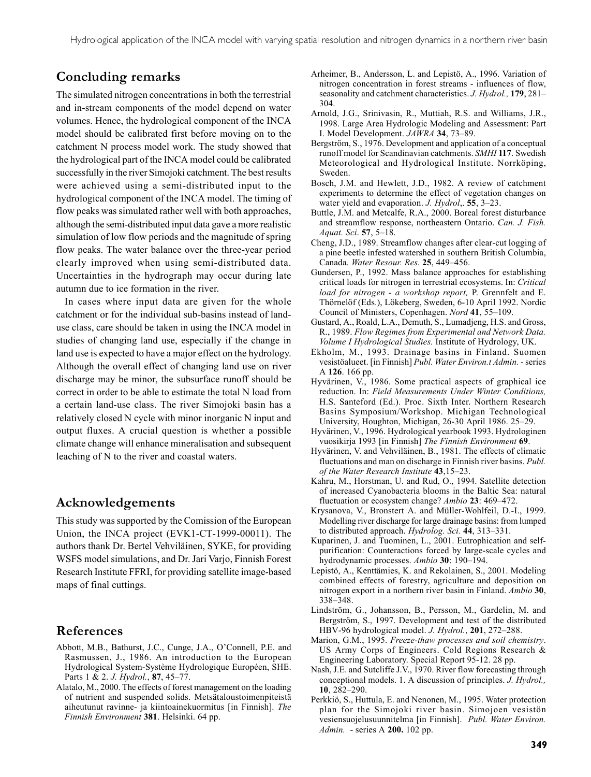## **Concluding remarks**

The simulated nitrogen concentrations in both the terrestrial and in-stream components of the model depend on water volumes. Hence, the hydrological component of the INCA model should be calibrated first before moving on to the catchment N process model work. The study showed that the hydrological part of the INCA model could be calibrated successfully in the river Simojoki catchment. The best results were achieved using a semi-distributed input to the hydrological component of the INCA model. The timing of flow peaks was simulated rather well with both approaches, although the semi-distributed input data gave a more realistic simulation of low flow periods and the magnitude of spring flow peaks. The water balance over the three-year period clearly improved when using semi-distributed data. Uncertainties in the hydrograph may occur during late autumn due to ice formation in the river.

In cases where input data are given for the whole catchment or for the individual sub-basins instead of landuse class, care should be taken in using the INCA model in studies of changing land use, especially if the change in land use is expected to have a major effect on the hydrology. Although the overall effect of changing land use on river discharge may be minor, the subsurface runoff should be correct in order to be able to estimate the total N load from a certain land-use class. The river Simojoki basin has a relatively closed N cycle with minor inorganic N input and output fluxes. A crucial question is whether a possible climate change will enhance mineralisation and subsequent leaching of N to the river and coastal waters.

## **Acknowledgements**

This study was supported by the Comission of the European Union, the INCA project (EVK1-CT-1999-00011). The authors thank Dr. Bertel Vehviläinen, SYKE, for providing WSFS model simulations, and Dr. Jari Varjo, Finnish Forest Research Institute FFRI, for providing satellite image-based maps of final cuttings.

## **References**

- Abbott, M.B., Bathurst, J.C., Cunge, J.A., O'Connell, P.E. and Rasmussen, J., 1986. An introduction to the European Hydrological System-Système Hydrologique Européen, SHE. Parts 1 & 2. *J. Hydrol.*, **87**, 45–77.
- Alatalo, M., 2000. The effects of forest management on the loading of nutrient and suspended solids. Metsätaloustoimenpiteistä aiheutunut ravinne- ja kiintoainekuormitus [in Finnish]. *The Finnish Environment* **381**. Helsinki. 64 pp.
- Arheimer, B., Andersson, L. and Lepistö, A., 1996. Variation of nitrogen concentration in forest streams - influences of flow, seasonality and catchment characteristics. *J. Hydrol.,* **179**, 281– 304.
- Arnold, J.G., Srinivasin, R., Muttiah, R.S. and Williams, J.R., 1998. Large Area Hydrologic Modeling and Assessment: Part I. Model Development. *JAWRA* **34**, 73–89.
- Bergström, S., 1976. Development and application of a conceptual runoff model for Scandinavian catchments. *SMHI* **117**. Swedish Meteorological and Hydrological Institute. Norrköping, Sweden.
- Bosch, J.M. and Hewlett, J.D., 1982. A review of catchment experiments to determine the effect of vegetation changes on water yield and evaporation. *J. Hydrol*,. **55**, 3–23.
- Buttle, J.M. and Metcalfe, R.A., 2000. Boreal forest disturbance and streamflow response, northeastern Ontario. *Can. J. Fish. Aquat. Sci*. **57**, 5–18.
- Cheng, J.D., 1989. Streamflow changes after clear-cut logging of a pine beetle infested watershed in southern British Columbia, Canada. *Water Resour. Res.* **25**, 449–456.
- Gundersen, P., 1992. Mass balance approaches for establishing critical loads for nitrogen in terrestrial ecosystems. In: *Critical load for nitrogen - a workshop report,* P. Grennfelt and E. Thörnelöf (Eds.), Lökeberg, Sweden, 6-10 April 1992. Nordic Council of Ministers, Copenhagen. *Nord* **41**, 55–109.
- Gustard, A., Roald, L.A., Demuth, S., Lumadjeng, H.S. and Gross, R., 1989. *Flow Regimes from Experimental and Network Data. Volume I Hydrological Studies.* Institute of Hydrology, UK.
- Ekholm, M., 1993. Drainage basins in Finland. Suomen vesistöalueet. [in Finnish] *Publ. Water Environ.t Admin.* - series A **126**. 166 pp.
- Hyvärinen, V., 1986. Some practical aspects of graphical ice reduction. In: *Field Measurements Under Winter Conditions,* H.S. Santeford (Ed.)*.* Proc. Sixth Inter. Northern Research Basins Symposium/Workshop. Michigan Technological University, Houghton, Michigan, 26-30 April 1986. 25–29.
- Hyvärinen, V., 1996. Hydrological yearbook 1993. Hydrologinen vuosikirja 1993 [in Finnish] *The Finnish Environment* **69**.
- Hyvärinen, V. and Vehviläinen, B., 1981. The effects of climatic fluctuations and man on discharge in Finnish river basins. *Publ. of the Water Research Institute* **43**,15–23.
- Kahru, M., Horstman, U. and Rud, O., 1994. Satellite detection of increased Cyanobacteria blooms in the Baltic Sea: natural fluctuation or ecosystem change? *Ambio* **23**: 469–472.
- Krysanova, V., Bronstert A. and Müller-Wohlfeil, D.-I., 1999. Modelling river discharge for large drainage basins: from lumped to distributed approach. *Hydrolog. Sci.* **44**, 313–331.
- Kuparinen, J. and Tuominen, L., 2001. Eutrophication and selfpurification: Counteractions forced by large-scale cycles and hydrodynamic processes. *Ambio* **30**: 190–194.
- Lepistö, A., Kenttämies, K. and Rekolainen, S., 2001. Modeling combined effects of forestry, agriculture and deposition on nitrogen export in a northern river basin in Finland. *Ambio* **30**, 338–348.
- Lindström, G., Johansson, B., Persson, M., Gardelin, M. and Bergström, S., 1997. Development and test of the distributed HBV-96 hydrological model. *J. Hydrol.*, **201**, 272–288.
- Marion, G.M., 1995. *Freeze-thaw processes and soil chemistry*. US Army Corps of Engineers. Cold Regions Research & Engineering Laboratory. Special Report 95-12. 28 pp.
- Nash, J.E. and Sutcliffe J.V., 1970. River flow forecasting through conceptional models. 1. A discussion of principles. *J. Hydrol.,* **10**, 282–290.
- Perkkiö, S., Huttula, E. and Nenonen, M., 1995. Water protection plan for the Simojoki river basin. Simojoen vesistön vesiensuojelusuunnitelma [in Finnish]. *Publ. Water Environ. Admin.* - series A **200.** 102 pp.